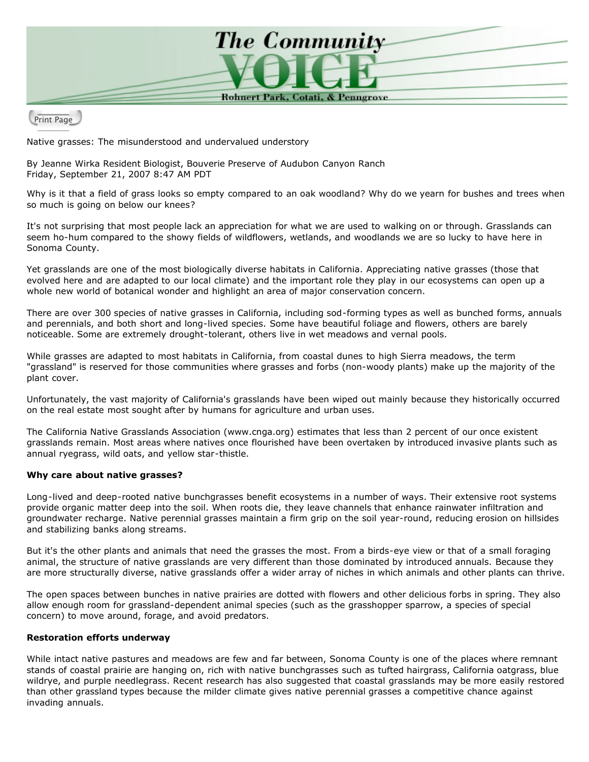

Print Page

Native grasses: The misunderstood and undervalued understory

By Jeanne Wirka Resident Biologist, Bouverie Preserve of Audubon Canyon Ranch Friday, September 21, 2007 8:47 AM PDT

Why is it that a field of grass looks so empty compared to an oak woodland? Why do we yearn for bushes and trees when so much is going on below our knees?

It's not surprising that most people lack an appreciation for what we are used to walking on or through. Grasslands can seem ho-hum compared to the showy fields of wildflowers, wetlands, and woodlands we are so lucky to have here in Sonoma County.

Yet grasslands are one of the most biologically diverse habitats in California. Appreciating native grasses (those that evolved here and are adapted to our local climate) and the important role they play in our ecosystems can open up a whole new world of botanical wonder and highlight an area of major conservation concern.

There are over 300 species of native grasses in California, including sod-forming types as well as bunched forms, annuals and perennials, and both short and long-lived species. Some have beautiful foliage and flowers, others are barely noticeable. Some are extremely drought-tolerant, others live in wet meadows and vernal pools.

While grasses are adapted to most habitats in California, from coastal dunes to high Sierra meadows, the term "grassland" is reserved for those communities where grasses and forbs (non-woody plants) make up the majority of the plant cover.

Unfortunately, the vast majority of California's grasslands have been wiped out mainly because they historically occurred on the real estate most sought after by humans for agriculture and urban uses.

The California Native Grasslands Association (www.cnga.org) estimates that less than 2 percent of our once existent grasslands remain. Most areas where natives once flourished have been overtaken by introduced invasive plants such as annual ryegrass, wild oats, and yellow star-thistle.

## **Why care about native grasses?**

Long-lived and deep-rooted native bunchgrasses benefit ecosystems in a number of ways. Their extensive root systems provide organic matter deep into the soil. When roots die, they leave channels that enhance rainwater infiltration and groundwater recharge. Native perennial grasses maintain a firm grip on the soil year-round, reducing erosion on hillsides and stabilizing banks along streams.

But it's the other plants and animals that need the grasses the most. From a birds-eye view or that of a small foraging animal, the structure of native grasslands are very different than those dominated by introduced annuals. Because they are more structurally diverse, native grasslands offer a wider array of niches in which animals and other plants can thrive.

The open spaces between bunches in native prairies are dotted with flowers and other delicious forbs in spring. They also allow enough room for grassland-dependent animal species (such as the grasshopper sparrow, a species of special concern) to move around, forage, and avoid predators.

## **Restoration efforts underway**

While intact native pastures and meadows are few and far between, Sonoma County is one of the places where remnant stands of coastal prairie are hanging on, rich with native bunchgrasses such as tufted hairgrass, California oatgrass, blue wildrye, and purple needlegrass. Recent research has also suggested that coastal grasslands may be more easily restored than other grassland types because the milder climate gives native perennial grasses a competitive chance against invading annuals.